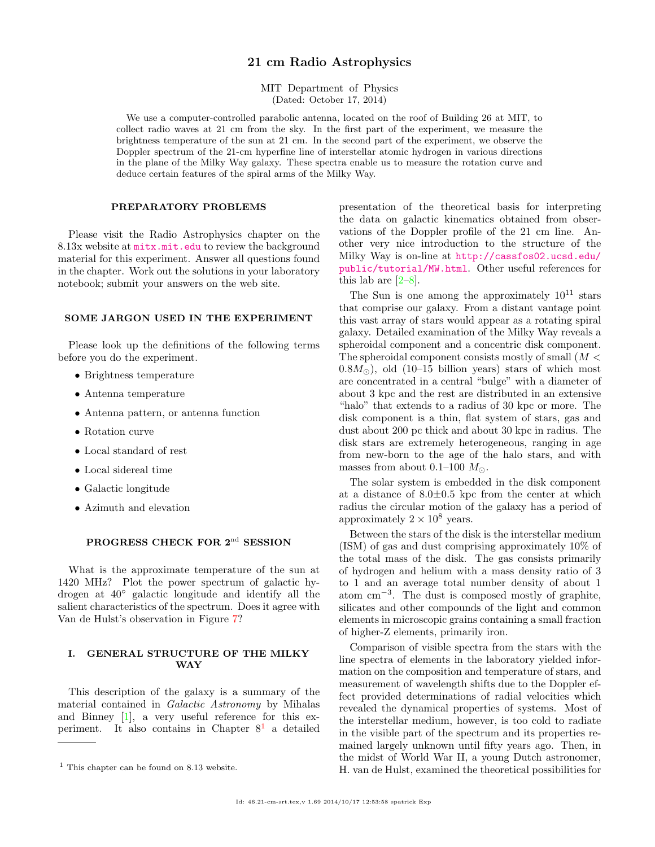# 21 cm Radio Astrophysics

MIT Department of Physics (Dated: October 17, 2014)

We use a computer-controlled parabolic antenna, located on the roof of Building 26 at MIT, to collect radio waves at 21 cm from the sky. In the first part of the experiment, we measure the brightness temperature of the sun at 21 cm. In the second part of the experiment, we observe the Doppler spectrum of the 21-cm hyperfine line of interstellar atomic hydrogen in various directions in the plane of the Milky Way galaxy. These spectra enable us to measure the rotation curve and deduce certain features of the spiral arms of the Milky Way.

# PREPARATORY PROBLEMS

Please visit the Radio Astrophysics chapter on the 8.13x website at <mitx.mit.edu> to review the background material for this experiment. Answer all questions found in the chapter. Work out the solutions in your laboratory notebook; submit your answers on the web site.

## SOME JARGON USED IN THE EXPERIMENT

Please look up the definitions of the following terms before you do the experiment.

- Brightness temperature
- Antenna temperature
- Antenna pattern, or antenna function
- Rotation curve
- Local standard of rest
- Local sidereal time
- Galactic longitude
- Azimuth and elevation

# PROGRESS CHECK FOR 2<sup>nd</sup> SESSION

What is the approximate temperature of the sun at 1420 MHz? Plot the power spectrum of galactic hydrogen at 40◦ galactic longitude and identify all the salient characteristics of the spectrum. Does it agree with Van de Hulst's observation in Figure [7?](#page-5-0)

# I. GENERAL STRUCTURE OF THE MILKY WAY

This description of the galaxy is a summary of the material contained in Galactic Astronomy by Mihalas and Binney [\[1\]](#page-6-0), a very useful reference for this experiment. It also contains in Chapter  $8<sup>1</sup>$  $8<sup>1</sup>$  $8<sup>1</sup>$  a detailed

presentation of the theoretical basis for interpreting the data on galactic kinematics obtained from observations of the Doppler profile of the 21 cm line. Another very nice introduction to the structure of the Milky Way is on-line at [http://cassfos02.ucsd.edu/](http://cassfos02.ucsd.edu/public/tutorial/MW.html) [public/tutorial/MW.html](http://cassfos02.ucsd.edu/public/tutorial/MW.html). Other useful references for this lab are  $[2-8]$  $[2-8]$ .

The Sun is one among the approximately  $10^{11}$  stars that comprise our galaxy. From a distant vantage point this vast array of stars would appear as a rotating spiral galaxy. Detailed examination of the Milky Way reveals a spheroidal component and a concentric disk component. The spheroidal component consists mostly of small  $(M <$  $(0.8M_{\odot})$ , old  $(10-15)$  billion years) stars of which most are concentrated in a central "bulge" with a diameter of about 3 kpc and the rest are distributed in an extensive "halo" that extends to a radius of 30 kpc or more. The disk component is a thin, flat system of stars, gas and dust about 200 pc thick and about 30 kpc in radius. The disk stars are extremely heterogeneous, ranging in age from new-born to the age of the halo stars, and with masses from about 0.1–100  $M_{\odot}$ .

The solar system is embedded in the disk component at a distance of  $8.0 \pm 0.5$  kpc from the center at which radius the circular motion of the galaxy has a period of approximately  $2 \times 10^8$  years.

Between the stars of the disk is the interstellar medium (ISM) of gas and dust comprising approximately 10% of the total mass of the disk. The gas consists primarily of hydrogen and helium with a mass density ratio of 3 to 1 and an average total number density of about 1 atom cm<sup>−</sup><sup>3</sup> . The dust is composed mostly of graphite, silicates and other compounds of the light and common elements in microscopic grains containing a small fraction of higher-Z elements, primarily iron.

Comparison of visible spectra from the stars with the line spectra of elements in the laboratory yielded information on the composition and temperature of stars, and measurement of wavelength shifts due to the Doppler effect provided determinations of radial velocities which revealed the dynamical properties of systems. Most of the interstellar medium, however, is too cold to radiate in the visible part of the spectrum and its properties remained largely unknown until fifty years ago. Then, in the midst of World War II, a young Dutch astronomer, H. van de Hulst, examined the theoretical possibilities for

<span id="page-0-0"></span><sup>&</sup>lt;sup>1</sup> This chapter can be found on 8.13 website.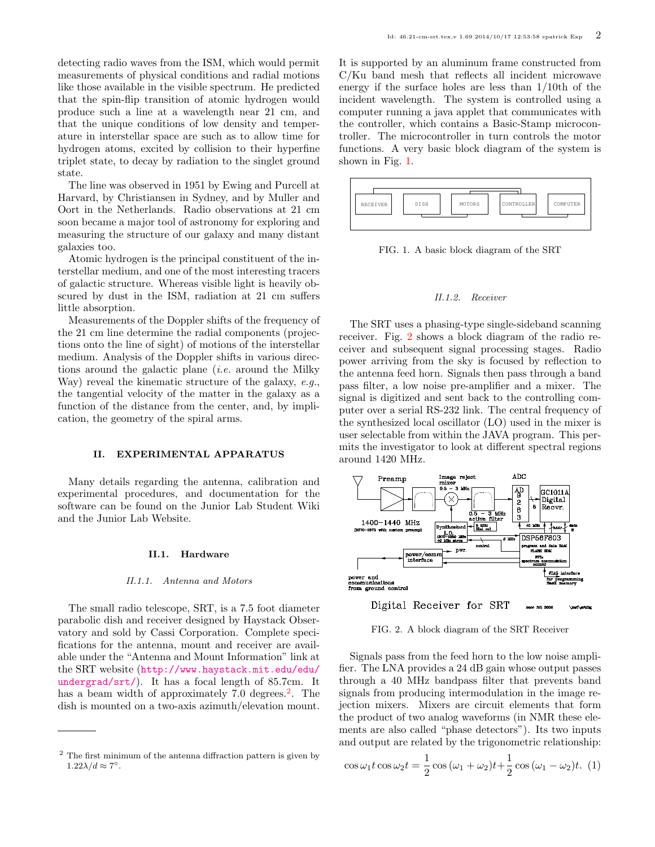detecting radio waves from the ISM, which would permit measurements of physical conditions and radial motions like those available in the visible spectrum. He predicted that the spin-flip transition of atomic hydrogen would produce such a line at a wavelength near 21 cm, and that the unique conditions of low density and temperature in interstellar space are such as to allow time for hydrogen atoms, excited by collision to their hyperfine triplet state, to decay by radiation to the singlet ground state.

The line was observed in 1951 by Ewing and Purcell at Harvard, by Christiansen in Sydney, and by Muller and Oort in the Netherlands. Radio observations at 21 cm soon became a major tool of astronomy for exploring and measuring the structure of our galaxy and many distant galaxies too.

Atomic hydrogen is the principal constituent of the interstellar medium, and one of the most interesting tracers of galactic structure. Whereas visible light is heavily obscured by dust in the ISM, radiation at 21 cm suffers little absorption.

Measurements of the Doppler shifts of the frequency of the 21 cm line determine the radial components (projections onto the line of sight) of motions of the interstellar medium. Analysis of the Doppler shifts in various directions around the galactic plane (i.e. around the Milky Way) reveal the kinematic structure of the galaxy, e.g., the tangential velocity of the matter in the galaxy as a function of the distance from the center, and, by implication, the geometry of the spiral arms.

### II. EXPERIMENTAL APPARATUS

Many details regarding the antenna, calibration and experimental procedures, and documentation for the software can be found on the Junior Lab Student Wiki and the Junior Lab Website.

#### II.1. Hardware

#### II.1.1. Antenna and Motors

The small radio telescope, SRT, is a 7.5 foot diameter parabolic dish and receiver designed by Haystack Observatory and sold by Cassi Corporation. Complete specifications for the antenna, mount and receiver are available under the "Antenna and Mount Information" link at the SRT website ([http://www.haystack.mit.edu/edu/](http://www.haystack.mit.edu/edu/undergrad/srt/) [undergrad/srt/](http://www.haystack.mit.edu/edu/undergrad/srt/)). It has a focal length of 85.7cm. It has a beam width of approximately 7.0 degrees.<sup>[2](#page-1-0)</sup>. The dish is mounted on a two-axis azimuth/elevation mount.

It is supported by an aluminum frame constructed from C/Ku band mesh that reflects all incident microwave energy if the surface holes are less than 1/10th of the incident wavelength. The system is controlled using a computer running a java applet that communicates with the controller, which contains a Basic-Stamp microcontroller. The microcontroller in turn controls the motor functions. A very basic block diagram of the system is shown in Fig. [1.](#page-1-1)



<span id="page-1-1"></span>FIG. 1. A basic block diagram of the SRT

#### II.1.2. Receiver

The SRT uses a phasing-type single-sideband scanning receiver. Fig. [2](#page-1-2) shows a block diagram of the radio receiver and subsequent signal processing stages. Radio power arriving from the sky is focused by reflection to the antenna feed horn. Signals then pass through a band pass filter, a low noise pre-amplifier and a mixer. The signal is digitized and sent back to the controlling computer over a serial RS-232 link. The central frequency of the synthesized local oscillator (LO) used in the mixer is user selectable from within the JAVA program. This permits the investigator to look at different spectral regions around 1420 MHz.



<span id="page-1-2"></span>

FIG. 2. A block diagram of the SRT Receiver

Signals pass from the feed horn to the low noise amplifier. The LNA provides a 24 dB gain whose output passes through a 40 MHz bandpass filter that prevents band signals from producing intermodulation in the image rejection mixers. Mixers are circuit elements that form the product of two analog waveforms (in NMR these elements are also called "phase detectors"). Its two inputs and output are related by the trigonometric relationship:

$$
\cos \omega_1 t \cos \omega_2 t = \frac{1}{2} \cos (\omega_1 + \omega_2) t + \frac{1}{2} \cos (\omega_1 - \omega_2) t. (1)
$$

<span id="page-1-0"></span><sup>2</sup> The first minimum of the antenna diffraction pattern is given by  $1.22\lambda/d \approx 7^\circ$ .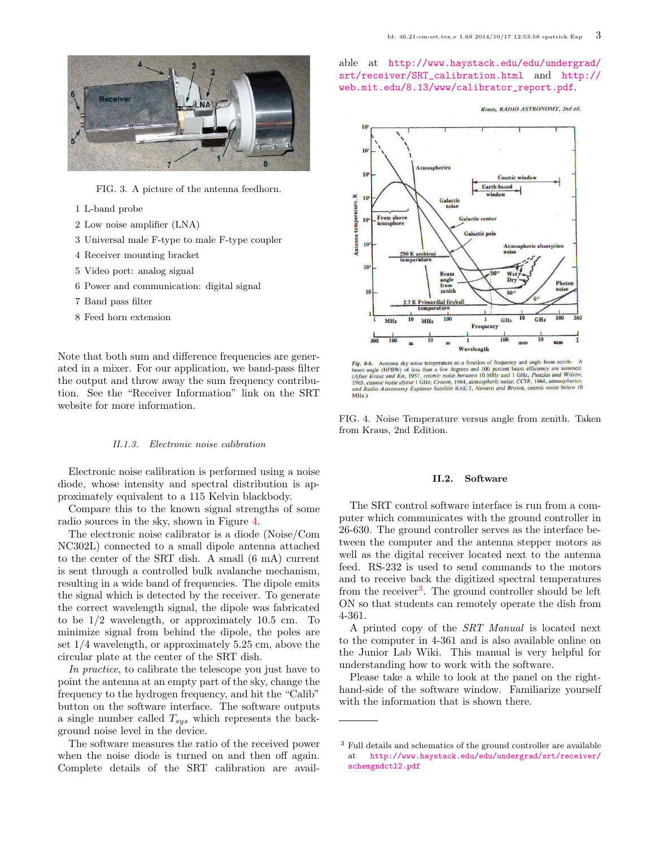

FIG. 3. A picture of the antenna feedhorn.

- 1 L-band probe
- 2 Low noise amplifier (LNA)
- 3 Universal male F-type to male F-type coupler
- 4 Receiver mounting bracket
- 5 Video port: analog signal
- 6 Power and communication: digital signal
- 7 Band pass filter
- 8 Feed horn extension

Note that both sum and difference frequencies are generated in a mixer. For our application, we band-pass filter the output and throw away the sum frequency contribution. See the "Receiver Information" link on the SRT website for more information.

#### II.1.3. Electronic noise calibration

Electronic noise calibration is performed using a noise diode, whose intensity and spectral distribution is approximately equivalent to a 115 Kelvin blackbody.

Compare this to the known signal strengths of some radio sources in the sky, shown in Figure [4.](#page-2-0)

The electronic noise calibrator is a diode (Noise/Com NC302L) connected to a small dipole antenna attached to the center of the SRT dish. A small (6 mA) current is sent through a controlled bulk avalanche mechanism, resulting in a wide band of frequencies. The dipole emits the signal which is detected by the receiver. To generate the correct wavelength signal, the dipole was fabricated to be 1/2 wavelength, or approximately 10.5 cm. To minimize signal from behind the dipole, the poles are set 1/4 wavelength, or approximately 5.25 cm, above the circular plate at the center of the SRT dish.

In practice, to calibrate the telescope you just have to point the antenna at an empty part of the sky, change the frequency to the hydrogen frequency, and hit the "Calib" button on the software interface. The software outputs a single number called  $T_{sys}$  which represents the background noise level in the device.

The software measures the ratio of the received power when the noise diode is turned on and then off again. Complete details of the SRT calibration are available at [http://www.haystack.edu/edu/undergrad/](http://www.haystack.edu/edu/undergrad/srt/receiver/SRT_calibration.html) [srt/receiver/SRT\\_calibration.html](http://www.haystack.edu/edu/undergrad/srt/receiver/SRT_calibration.html) and [http://](http://web.mit.edu/8.13/www/calibrator_report.pdf) [web.mit.edu/8.13/www/calibrator\\_report.pdf](http://web.mit.edu/8.13/www/calibrator_report.pdf).

Kraus, RADIO ASTRONOMY, 2nd ed.



Antenna sky noise temperature as a function of frequency and angle from zenith Fig. 8-6. Fig. 6-6. Antenia sky moise emperience as a neutron or requester and effectively and angle (HPBW) of less than a few degrees and 100 percent beam efficiency are assumed.<br>
(After Kraus and Ko, 1957, cosmic noise between 10 (After Kraus and Ko, 1951, cosmic nosse petween 10 with unit 1 Griz, retricta sinu rinson,<br>1965, cosmic noise above 1 GHz; Croom, 1964, atmospheric noise; CCIR, 1964, atmospherics;<br>and Radio Astronomy Explorer Satellite RA MHz.)

<span id="page-2-0"></span>FIG. 4. Noise Temperature versus angle from zenith. Taken from Kraus, 2nd Edition.

#### II.2. Software

The SRT control software interface is run from a computer which communicates with the ground controller in 26-630. The ground controller serves as the interface between the computer and the antenna stepper motors as well as the digital receiver located next to the antenna feed. RS-232 is used to send commands to the motors and to receive back the digitized spectral temperatures from the receiver<sup>[3](#page-2-1)</sup>. The ground controller should be left ON so that students can remotely operate the dish from 4-361.

A printed copy of the SRT Manual is located next to the computer in 4-361 and is also available online on the Junior Lab Wiki. This manual is very helpful for understanding how to work with the software.

Please take a while to look at the panel on the righthand-side of the software window. Familiarize yourself with the information that is shown there.

<span id="page-2-1"></span><sup>3</sup> Full details and schematics of the ground controller are available [http://www.haystack.edu/edu/undergrad/srt/receiver/](http://www.haystack.edu/edu/undergrad/srt/receiver/schemgndctl2.pdf) [schemgndctl2.pdf](http://www.haystack.edu/edu/undergrad/srt/receiver/schemgndctl2.pdf)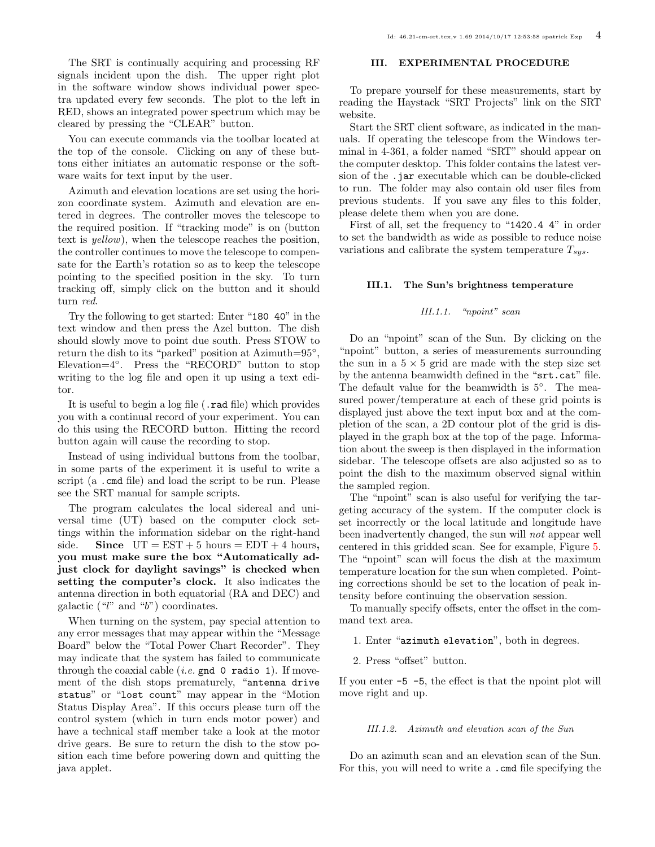The SRT is continually acquiring and processing RF signals incident upon the dish. The upper right plot in the software window shows individual power spectra updated every few seconds. The plot to the left in RED, shows an integrated power spectrum which may be cleared by pressing the "CLEAR" button.

You can execute commands via the toolbar located at the top of the console. Clicking on any of these buttons either initiates an automatic response or the software waits for text input by the user.

Azimuth and elevation locations are set using the horizon coordinate system. Azimuth and elevation are entered in degrees. The controller moves the telescope to the required position. If "tracking mode" is on (button text is yellow), when the telescope reaches the position, the controller continues to move the telescope to compensate for the Earth's rotation so as to keep the telescope pointing to the specified position in the sky. To turn tracking off, simply click on the button and it should turn red.

Try the following to get started: Enter "180 40" in the text window and then press the Azel button. The dish should slowly move to point due south. Press STOW to return the dish to its "parked" position at Azimuth=95<sup>°</sup>, Elevation=4◦ . Press the "RECORD" button to stop writing to the log file and open it up using a text editor.

It is useful to begin a log file (.rad file) which provides you with a continual record of your experiment. You can do this using the RECORD button. Hitting the record button again will cause the recording to stop.

Instead of using individual buttons from the toolbar, in some parts of the experiment it is useful to write a script (a .cmd file) and load the script to be run. Please see the SRT manual for sample scripts.

The program calculates the local sidereal and universal time (UT) based on the computer clock settings within the information sidebar on the right-hand side. Since  $UT = EST + 5 hours = EDT + 4 hours$ , you must make sure the box "Automatically adjust clock for daylight savings" is checked when setting the computer's clock. It also indicates the antenna direction in both equatorial (RA and DEC) and galactic ("l" and "b") coordinates.

When turning on the system, pay special attention to any error messages that may appear within the "Message Board" below the "Total Power Chart Recorder". They may indicate that the system has failed to communicate through the coaxial cable (*i.e.* gnd  $\circ$  radio 1). If movement of the dish stops prematurely, "antenna drive status" or "lost count" may appear in the "Motion Status Display Area". If this occurs please turn off the control system (which in turn ends motor power) and have a technical staff member take a look at the motor drive gears. Be sure to return the dish to the stow position each time before powering down and quitting the java applet.

# III. EXPERIMENTAL PROCEDURE

To prepare yourself for these measurements, start by reading the Haystack "SRT Projects" link on the SRT website.

Start the SRT client software, as indicated in the manuals. If operating the telescope from the Windows terminal in 4-361, a folder named "SRT" should appear on the computer desktop. This folder contains the latest version of the .jar executable which can be double-clicked to run. The folder may also contain old user files from previous students. If you save any files to this folder, please delete them when you are done.

First of all, set the frequency to "1420.4 4" in order to set the bandwidth as wide as possible to reduce noise variations and calibrate the system temperature  $T_{sus}$ .

### III.1. The Sun's brightness temperature

## III.1.1. "npoint" scan

Do an "npoint" scan of the Sun. By clicking on the "npoint" button, a series of measurements surrounding the sun in a  $5 \times 5$  grid are made with the step size set by the antenna beamwidth defined in the "srt.cat" file. The default value for the beamwidth is  $5°$ . The measured power/temperature at each of these grid points is displayed just above the text input box and at the completion of the scan, a 2D contour plot of the grid is displayed in the graph box at the top of the page. Information about the sweep is then displayed in the information sidebar. The telescope offsets are also adjusted so as to point the dish to the maximum observed signal within the sampled region.

The "npoint" scan is also useful for verifying the targeting accuracy of the system. If the computer clock is set incorrectly or the local latitude and longitude have been inadvertently changed, the sun will not appear well centered in this gridded scan. See for example, Figure [5.](#page-4-0) The "npoint" scan will focus the dish at the maximum temperature location for the sun when completed. Pointing corrections should be set to the location of peak intensity before continuing the observation session.

To manually specify offsets, enter the offset in the command text area.

- 1. Enter "azimuth elevation", both in degrees.
- 2. Press "offset" button.

If you enter -5 -5, the effect is that the npoint plot will move right and up.

### III.1.2. Azimuth and elevation scan of the Sun

Do an azimuth scan and an elevation scan of the Sun. For this, you will need to write a comment of the specifying the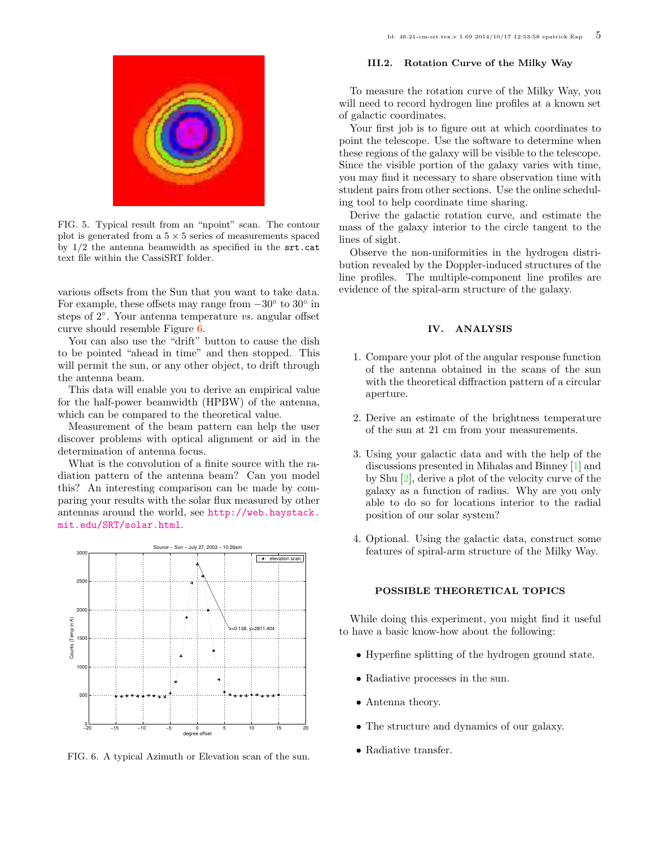

FIG. 5. Typical result from an "npoint" scan. The contour plot is generated from a  $5 \times 5$  series of measurements spaced by 1/2 the antenna beamwidth as specified in the srt.cat text file within the CassiSRT folder.

<span id="page-4-0"></span>various offsets from the Sun that you want to take data. For example, these offsets may range from  $-30^{\circ}$  to  $30^{\circ}$  in steps of 2°. Your antenna temperature vs. angular offset curve should resemble Figure [6.](#page-4-1)

You can also use the "drift" button to cause the dish to be pointed "ahead in time" and then stopped. This will permit the sun, or any other object, to drift through the antenna beam.

This data will enable you to derive an empirical value for the half-power beamwidth (HPBW) of the antenna, which can be compared to the theoretical value.

Measurement of the beam pattern can help the user discover problems with optical alignment or aid in the determination of antenna focus.

What is the convolution of a finite source with the radiation pattern of the antenna beam? Can you model this? An interesting comparison can be made by comparing your results with the solar flux measured by other antennas around the world, see [http://web.haystack.](http://web.haystack.mit.edu/SRT/solar.html) [mit.edu/SRT/solar.html](http://web.haystack.mit.edu/SRT/solar.html).



<span id="page-4-1"></span>FIG. 6. A typical Azimuth or Elevation scan of the sun.

# III.2. Rotation Curve of the Milky Way

To measure the rotation curve of the Milky Way, you will need to record hydrogen line profiles at a known set of galactic coordinates.

Your first job is to figure out at which coordinates to point the telescope. Use the software to determine when these regions of the galaxy will be visible to the telescope. Since the visible portion of the galaxy varies with time, you may find it necessary to share observation time with student pairs from other sections. Use the online scheduling tool to help coordinate time sharing.

Derive the galactic rotation curve, and estimate the mass of the galaxy interior to the circle tangent to the lines of sight.

Observe the non-uniformities in the hydrogen distribution revealed by the Doppler-induced structures of the line profiles. The multiple-component line profiles are evidence of the spiral-arm structure of the galaxy.

## IV. ANALYSIS

- 1. Compare your plot of the angular response function of the antenna obtained in the scans of the sun with the theoretical diffraction pattern of a circular aperture.
- 2. Derive an estimate of the brightness temperature of the sun at 21 cm from your measurements.
- 3. Using your galactic data and with the help of the discussions presented in Mihalas and Binney [\[1\]](#page-6-0) and by Shu [\[2\]](#page-6-1), derive a plot of the velocity curve of the galaxy as a function of radius. Why are you only able to do so for locations interior to the radial position of our solar system?
- 4. Optional. Using the galactic data, construct some features of spiral-arm structure of the Milky Way.

## POSSIBLE THEORETICAL TOPICS

While doing this experiment, you might find it useful to have a basic know-how about the following:

- Hyperfine splitting of the hydrogen ground state.
- Radiative processes in the sun.
- Antenna theory.
- The structure and dynamics of our galaxy.
- Radiative transfer.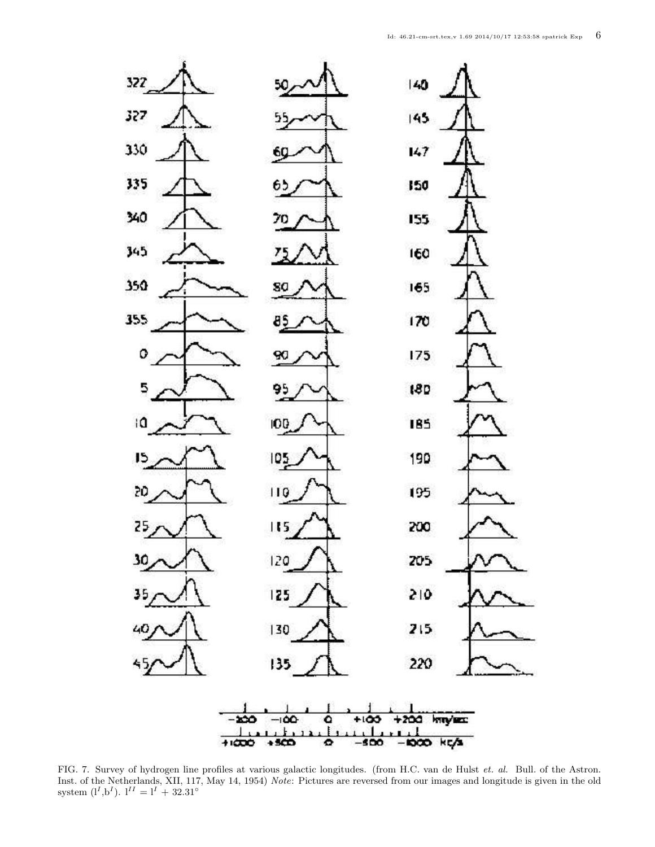

<span id="page-5-0"></span>FIG. 7. Survey of hydrogen line profiles at various galactic longitudes. (from H.C. van de Hulst et. al. Bull. of the Astron. Inst. of the Netherlands, XII, 117, May 14, 1954) Note: Pictures are reversed from our images and longitude is given in the old system  $(l^I, b^I)$ .  $l^{II} = l^I + 32.31^\circ$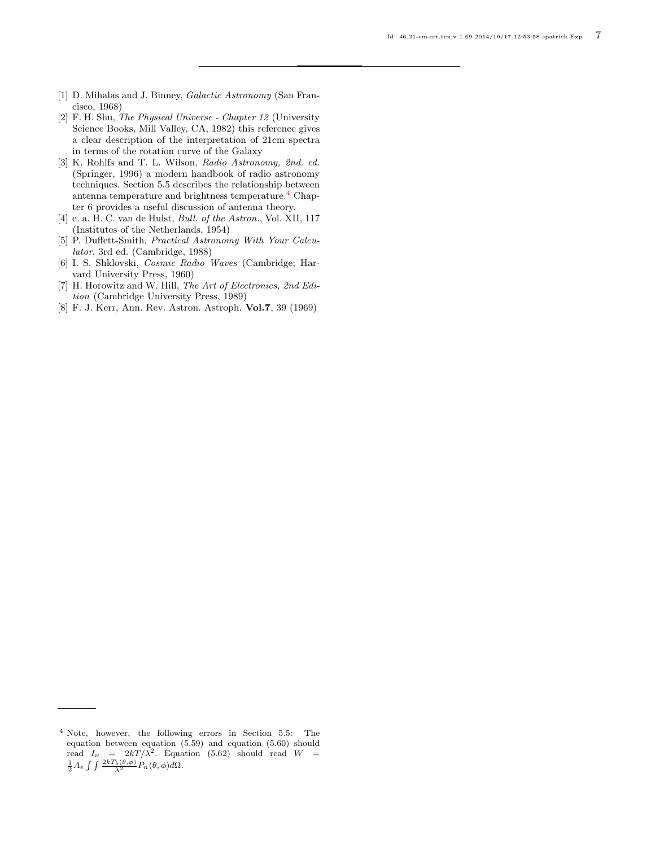- <span id="page-6-0"></span>[1] D. Mihalas and J. Binney, Galactic Astronomy (San Francisco, 1968)
- <span id="page-6-1"></span>[2] F. H. Shu, The Physical Universe - Chapter 12 (University Science Books, Mill Valley, CA, 1982) this reference gives a clear description of the interpretation of 21cm spectra in terms of the rotation curve of the Galaxy
- [3] K. Rohlfs and T. L. Wilson, Radio Astronomy, 2nd. ed. (Springer, 1996) a modern handbook of radio astronomy techniques. Section 5.5 describes the relationship between antenna temperature and brightness temperature.<sup>[4](#page-6-3)</sup> Chapter 6 provides a useful discussion of antenna theory.
- [4] e. a. H. C. van de Hulst, Bull. of the Astron., Vol. XII, 117 (Institutes of the Netherlands, 1954)
- [5] P. Duffett-Smith, Practical Astronomy With Your Calculator, 3rd ed. (Cambridge, 1988)
- [6] I. S. Shklovski, Cosmic Radio Waves (Cambridge; Harvard University Press, 1960)
- [7] H. Horowitz and W. Hill, The Art of Electronics, 2nd Edition (Cambridge University Press, 1989)
- <span id="page-6-2"></span>[8] F. J. Kerr, Ann. Rev. Astron. Astroph. Vol.7, 39 (1969)

<span id="page-6-3"></span><sup>4</sup> Note, however, the following errors in Section 5.5: The equation between equation (5.59) and equation (5.60) should read  $I_V = 2kT/\lambda^2$ . Equation (5.62) should read  $W = \frac{1}{2}A_e \int \int \frac{2kT_b(\theta,\phi)}{\lambda^2} P_n(\theta,\phi) d\Omega$ .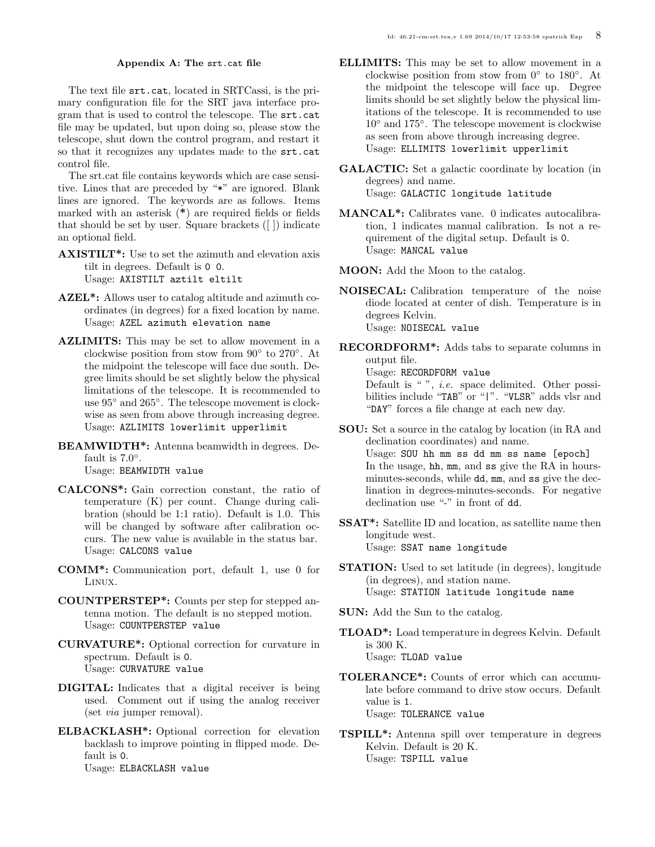# Appendix A: The srt.cat file

The text file srt.cat, located in SRTCassi, is the primary configuration file for the SRT java interface program that is used to control the telescope. The srt.cat file may be updated, but upon doing so, please stow the telescope, shut down the control program, and restart it so that it recognizes any updates made to the srt.cat control file.

The srt.cat file contains keywords which are case sensitive. Lines that are preceded by "\*" are ignored. Blank lines are ignored. The keywords are as follows. Items marked with an asterisk (\*) are required fields or fields that should be set by user. Square brackets ([ ]) indicate an optional field.

AXISTILT\*: Use to set the azimuth and elevation axis tilt in degrees. Default is 0 0. Usage: AXISTILT aztilt eltilt

- AZEL\*: Allows user to catalog altitude and azimuth coordinates (in degrees) for a fixed location by name. Usage: AZEL azimuth elevation name
- AZLIMITS: This may be set to allow movement in a clockwise position from stow from 90◦ to 270◦ . At the midpoint the telescope will face due south. Degree limits should be set slightly below the physical limitations of the telescope. It is recommended to use  $95^{\circ}$  and  $265^{\circ}$ . The telescope movement is clockwise as seen from above through increasing degree. Usage: AZLIMITS lowerlimit upperlimit
- BEAMWIDTH\*: Antenna beamwidth in degrees. Default is  $7.0^\circ$ . Usage: BEAMWIDTH value
- CALCONS\*: Gain correction constant, the ratio of temperature (K) per count. Change during calibration (should be 1:1 ratio). Default is 1.0. This will be changed by software after calibration occurs. The new value is available in the status bar. Usage: CALCONS value
- COMM\*: Communication port, default 1, use 0 for Linux.
- COUNTPERSTEP\*: Counts per step for stepped antenna motion. The default is no stepped motion. Usage: COUNTPERSTEP value
- CURVATURE\*: Optional correction for curvature in spectrum. Default is 0. Usage: CURVATURE value
- DIGITAL: Indicates that a digital receiver is being used. Comment out if using the analog receiver (set via jumper removal).
- ELBACKLASH\*: Optional correction for elevation backlash to improve pointing in flipped mode. Default is 0. Usage: ELBACKLASH value
- ELLIMITS: This may be set to allow movement in a clockwise position from stow from  $0°$  to  $180°$ . At the midpoint the telescope will face up. Degree limits should be set slightly below the physical limitations of the telescope. It is recommended to use 10◦ and 175◦ . The telescope movement is clockwise as seen from above through increasing degree. Usage: ELLIMITS lowerlimit upperlimit
- GALACTIC: Set a galactic coordinate by location (in degrees) and name. Usage: GALACTIC longitude latitude
- MANCAL\*: Calibrates vane. 0 indicates autocalibration, 1 indicates manual calibration. Is not a requirement of the digital setup. Default is 0. Usage: MANCAL value

MOON: Add the Moon to the catalog.

- NOISECAL: Calibration temperature of the noise diode located at center of dish. Temperature is in degrees Kelvin. Usage: NOISECAL value
- RECORDFORM\*: Adds tabs to separate columns in output file. Usage: RECORDFORM value Default is " ", *i.e.* space delimited. Other possibilities include "TAB" or "|". "VLSR" adds vlsr and
- "DAY" forces a file change at each new day. SOU: Set a source in the catalog by location (in RA and declination coordinates) and name. Usage: SOU hh mm ss dd mm ss name [epoch] In the usage, hh, mm, and ss give the RA in hoursminutes-seconds, while dd, mm, and ss give the dec
	- lination in degrees-minutes-seconds. For negative declination use "-" in front of dd.
- SSAT\*: Satellite ID and location, as satellite name then longitude west. Usage: SSAT name longitude
- STATION: Used to set latitude (in degrees), longitude (in degrees), and station name. Usage: STATION latitude longitude name
- SUN: Add the Sun to the catalog.
- TLOAD\*: Load temperature in degrees Kelvin. Default is 300 K. Usage: TLOAD value
- TOLERANCE\*: Counts of error which can accumulate before command to drive stow occurs. Default value is 1. Usage: TOLERANCE value
- TSPILL\*: Antenna spill over temperature in degrees Kelvin. Default is 20 K. Usage: TSPILL value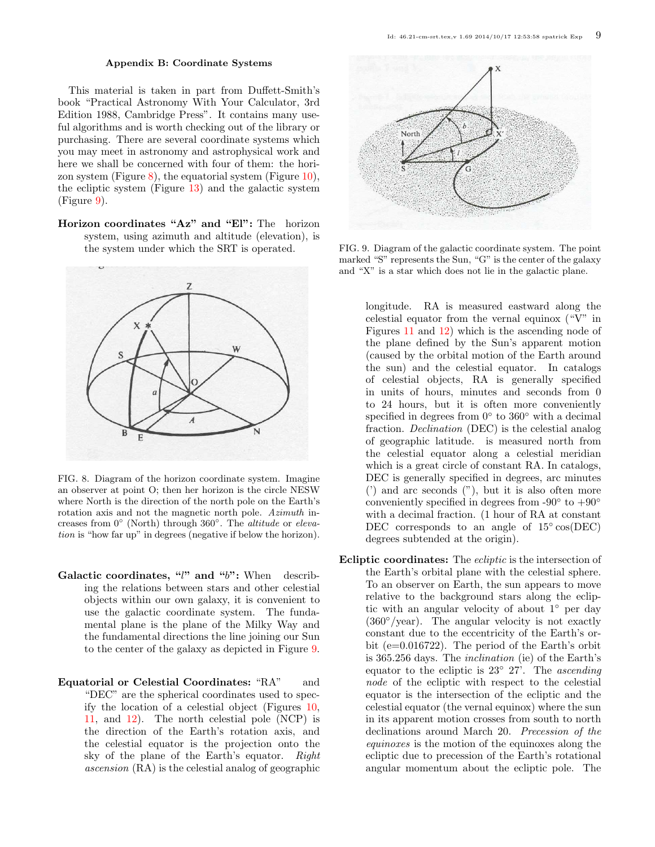## Appendix B: Coordinate Systems

This material is taken in part from Duffett-Smith's book "Practical Astronomy With Your Calculator, 3rd Edition 1988, Cambridge Press". It contains many useful algorithms and is worth checking out of the library or purchasing. There are several coordinate systems which you may meet in astronomy and astrophysical work and here we shall be concerned with four of them: the horizon system (Figure  $8$ ), the equatorial system (Figure [10\)](#page-9-0), the ecliptic system (Figure [13\)](#page-9-1) and the galactic system  $(Figure 9)$  $(Figure 9)$ .

Horizon coordinates "Az" and "El": The horizon system, using azimuth and altitude (elevation), is the system under which the SRT is operated.



<span id="page-8-0"></span>FIG. 8. Diagram of the horizon coordinate system. Imagine an observer at point O; then her horizon is the circle NESW where North is the direction of the north pole on the Earth's rotation axis and not the magnetic north pole. Azimuth increases from 0° (North) through 360°. The *altitude* or elevation is "how far up" in degrees (negative if below the horizon).

- Galactic coordinates, " $l$ " and " $b$ ": When describing the relations between stars and other celestial objects within our own galaxy, it is convenient to use the galactic coordinate system. The fundamental plane is the plane of the Milky Way and the fundamental directions the line joining our Sun to the center of the galaxy as depicted in Figure [9.](#page-8-1)
- Equatorial or Celestial Coordinates: "RA" and "DEC" are the spherical coordinates used to specify the location of a celestial object (Figures [10,](#page-9-0) [11,](#page-9-2) and [12\)](#page-9-3). The north celestial pole (NCP) is the direction of the Earth's rotation axis, and the celestial equator is the projection onto the sky of the plane of the Earth's equator. Right ascension (RA) is the celestial analog of geographic



<span id="page-8-1"></span>FIG. 9. Diagram of the galactic coordinate system. The point marked "S" represents the Sun, "G" is the center of the galaxy and "X" is a star which does not lie in the galactic plane.

longitude. RA is measured eastward along the celestial equator from the vernal equinox ("V" in Figures [11](#page-9-2) and [12\)](#page-9-3) which is the ascending node of the plane defined by the Sun's apparent motion (caused by the orbital motion of the Earth around the sun) and the celestial equator. In catalogs of celestial objects, RA is generally specified in units of hours, minutes and seconds from 0 to 24 hours, but it is often more conveniently specified in degrees from  $0^{\circ}$  to  $360^{\circ}$  with a decimal fraction. Declination (DEC) is the celestial analog of geographic latitude. is measured north from the celestial equator along a celestial meridian which is a great circle of constant RA. In catalogs, DEC is generally specified in degrees, arc minutes (') and arc seconds ("), but it is also often more conveniently specified in degrees from -90 $\degree$  to +90 $\degree$ with a decimal fraction. (1 hour of RA at constant DEC corresponds to an angle of  $15°\cos(DEC)$ degrees subtended at the origin).

Ecliptic coordinates: The ecliptic is the intersection of the Earth's orbital plane with the celestial sphere. To an observer on Earth, the sun appears to move relative to the background stars along the ecliptic with an angular velocity of about 1◦ per day  $(360°/year)$ . The angular velocity is not exactly constant due to the eccentricity of the Earth's orbit (e=0.016722). The period of the Earth's orbit is 365.256 days. The inclination (ie) of the Earth's equator to the ecliptic is 23◦ 27'. The ascending node of the ecliptic with respect to the celestial equator is the intersection of the ecliptic and the celestial equator (the vernal equinox) where the sun in its apparent motion crosses from south to north declinations around March 20. Precession of the equinoxes is the motion of the equinoxes along the ecliptic due to precession of the Earth's rotational angular momentum about the ecliptic pole. The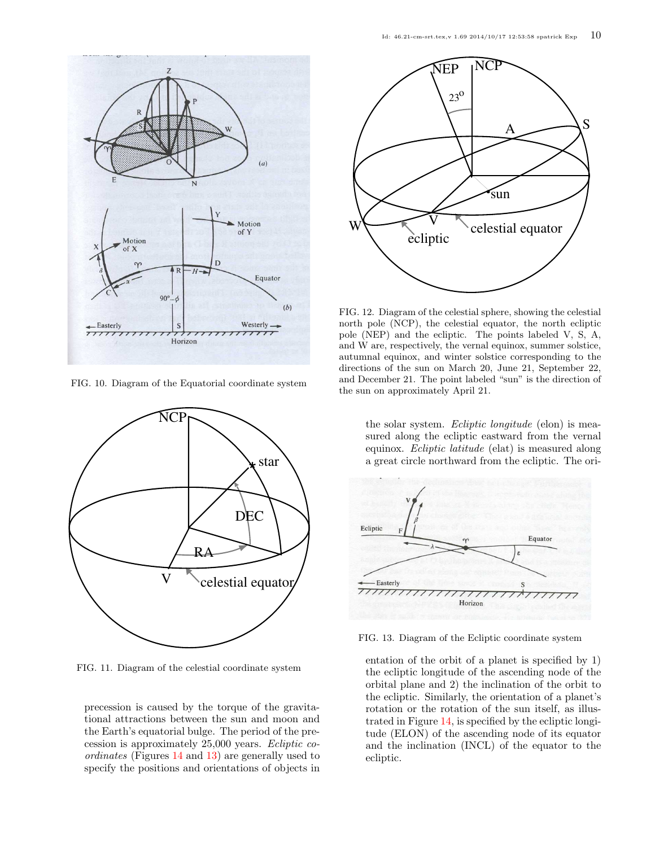

<span id="page-9-0"></span>FIG. 10. Diagram of the Equatorial coordinate system



<span id="page-9-2"></span>FIG. 11. Diagram of the celestial coordinate system

precession is caused by the torque of the gravitational attractions between the sun and moon and the Earth's equatorial bulge. The period of the precession is approximately 25,000 years. Ecliptic coordinates (Figures [14](#page-10-0) and [13\)](#page-9-1) are generally used to specify the positions and orientations of objects in



<span id="page-9-3"></span>FIG. 12. Diagram of the celestial sphere, showing the celestial north pole (NCP), the celestial equator, the north ecliptic pole (NEP) and the ecliptic. The points labeled V, S, A, and W are, respectively, the vernal equinox, summer solstice, autumnal equinox, and winter solstice corresponding to the directions of the sun on March 20, June 21, September 22, and December 21. The point labeled "sun" is the direction of the sun on approximately April 21.

the solar system. Ecliptic longitude (elon) is measured along the ecliptic eastward from the vernal equinox. Ecliptic latitude (elat) is measured along a great circle northward from the ecliptic. The ori-



<span id="page-9-1"></span>FIG. 13. Diagram of the Ecliptic coordinate system

entation of the orbit of a planet is specified by 1) the ecliptic longitude of the ascending node of the orbital plane and 2) the inclination of the orbit to the ecliptic. Similarly, the orientation of a planet's rotation or the rotation of the sun itself, as illustrated in Figure [14,](#page-10-0) is specified by the ecliptic longitude (ELON) of the ascending node of its equator and the inclination (INCL) of the equator to the ecliptic.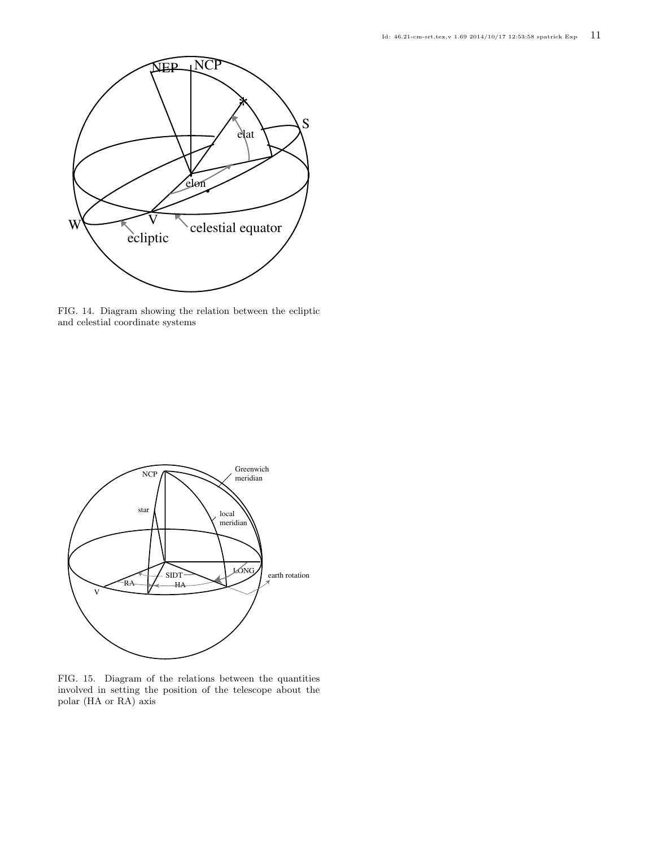

<span id="page-10-0"></span>FIG. 14. Diagram showing the relation between the ecliptic and celestial coordinate systems



FIG. 15. Diagram of the relations between the quantities involved in setting the position of the telescope about the polar (HA or RA) axis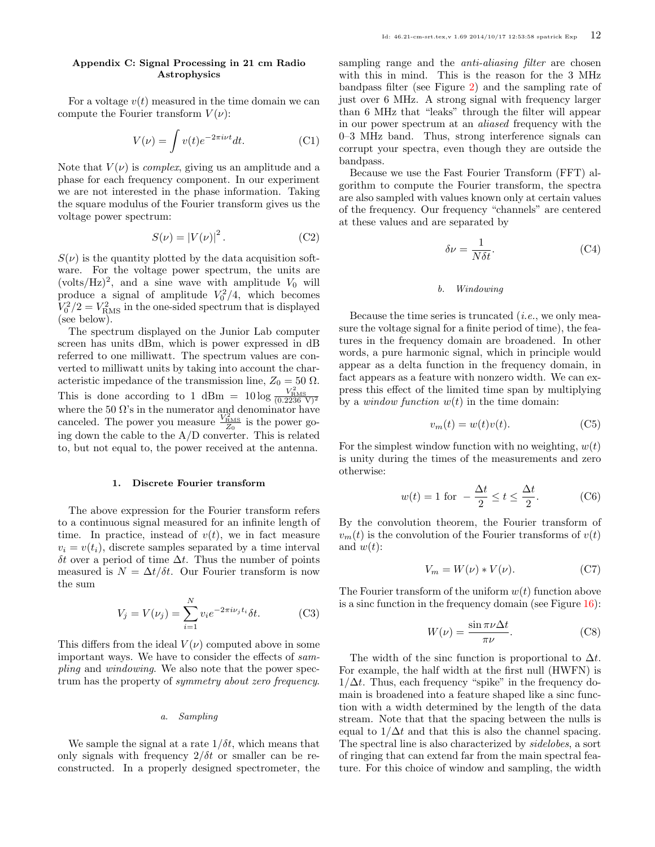## Appendix C: Signal Processing in 21 cm Radio Astrophysics

For a voltage  $v(t)$  measured in the time domain we can compute the Fourier transform  $V(\nu)$ :

$$
V(\nu) = \int v(t)e^{-2\pi i \nu t} dt.
$$
 (C1)

Note that  $V(\nu)$  is *complex*, giving us an amplitude and a phase for each frequency component. In our experiment we are not interested in the phase information. Taking the square modulus of the Fourier transform gives us the voltage power spectrum:

$$
S(\nu) = |V(\nu)|^2. \tag{C2}
$$

 $S(\nu)$  is the quantity plotted by the data acquisition software. For the voltage power spectrum, the units are (volts/Hz)<sup>2</sup>, and a sine wave with amplitude  $V_0$  will produce a signal of amplitude  $V_0^2/4$ , which becomes  $V_0^2/2 = V_{\text{RMS}}^2$  in the one-sided spectrum that is displayed (see below).

The spectrum displayed on the Junior Lab computer screen has units dBm, which is power expressed in dB referred to one milliwatt. The spectrum values are converted to milliwatt units by taking into account the characteristic impedance of the transmission line,  $Z_0 = 50 \Omega$ . This is done according to 1 dBm =  $10 \log \frac{V_{\text{RMS}}^2}{(0.2236 \text{ V})^2}$ where the 50  $\Omega$ 's in the numerator and denominator have canceled. The power you measure  $\frac{V_{\text{RMS}}^2}{Z_0}$  is the power going down the cable to the  $A/D$  converter. This is related to, but not equal to, the power received at the antenna.

#### 1. Discrete Fourier transform

The above expression for the Fourier transform refers to a continuous signal measured for an infinite length of time. In practice, instead of  $v(t)$ , we in fact measure  $v_i = v(t_i)$ , discrete samples separated by a time interval δt over a period of time ∆t. Thus the number of points measured is  $N = \Delta t / \delta t$ . Our Fourier transform is now the sum

$$
V_j = V(\nu_j) = \sum_{i=1}^{N} v_i e^{-2\pi i \nu_j t_i} \delta t.
$$
 (C3)

This differs from the ideal  $V(\nu)$  computed above in some important ways. We have to consider the effects of sampling and windowing. We also note that the power spectrum has the property of symmetry about zero frequency.

### a. Sampling

We sample the signal at a rate  $1/\delta t$ , which means that only signals with frequency  $2/\delta t$  or smaller can be reconstructed. In a properly designed spectrometer, the sampling range and the *anti-aliasing filter* are chosen with this in mind. This is the reason for the 3 MHz bandpass filter (see Figure [2\)](#page-1-2) and the sampling rate of just over 6 MHz. A strong signal with frequency larger than 6 MHz that "leaks" through the filter will appear in our power spectrum at an aliased frequency with the 0–3 MHz band. Thus, strong interference signals can corrupt your spectra, even though they are outside the bandpass.

Because we use the Fast Fourier Transform (FFT) algorithm to compute the Fourier transform, the spectra are also sampled with values known only at certain values of the frequency. Our frequency "channels" are centered at these values and are separated by

$$
\delta \nu = \frac{1}{N \delta t}.\tag{C4}
$$

### b. Windowing

Because the time series is truncated  $(i.e.,$  we only measure the voltage signal for a finite period of time), the features in the frequency domain are broadened. In other words, a pure harmonic signal, which in principle would appear as a delta function in the frequency domain, in fact appears as a feature with nonzero width. We can express this effect of the limited time span by multiplying by a *window function*  $w(t)$  in the time domain:

$$
v_m(t) = w(t)v(t).
$$
 (C5)

For the simplest window function with no weighting,  $w(t)$ is unity during the times of the measurements and zero otherwise:

$$
w(t) = 1 \text{ for } -\frac{\Delta t}{2} \le t \le \frac{\Delta t}{2}.
$$
 (C6)

By the convolution theorem, the Fourier transform of  $v_m(t)$  is the convolution of the Fourier transforms of  $v(t)$ and  $w(t)$ :

$$
V_m = W(\nu) * V(\nu). \tag{C7}
$$

The Fourier transform of the uniform  $w(t)$  function above is a sinc function in the frequency domain (see Figure [16\)](#page-12-0):

$$
W(\nu) = \frac{\sin \pi \nu \Delta t}{\pi \nu}.
$$
 (C8)

The width of the sinc function is proportional to  $\Delta t$ . For example, the half width at the first null (HWFN) is  $1/\Delta t$ . Thus, each frequency "spike" in the frequency domain is broadened into a feature shaped like a sinc function with a width determined by the length of the data stream. Note that that the spacing between the nulls is equal to  $1/\Delta t$  and that this is also the channel spacing. The spectral line is also characterized by sidelobes, a sort of ringing that can extend far from the main spectral feature. For this choice of window and sampling, the width